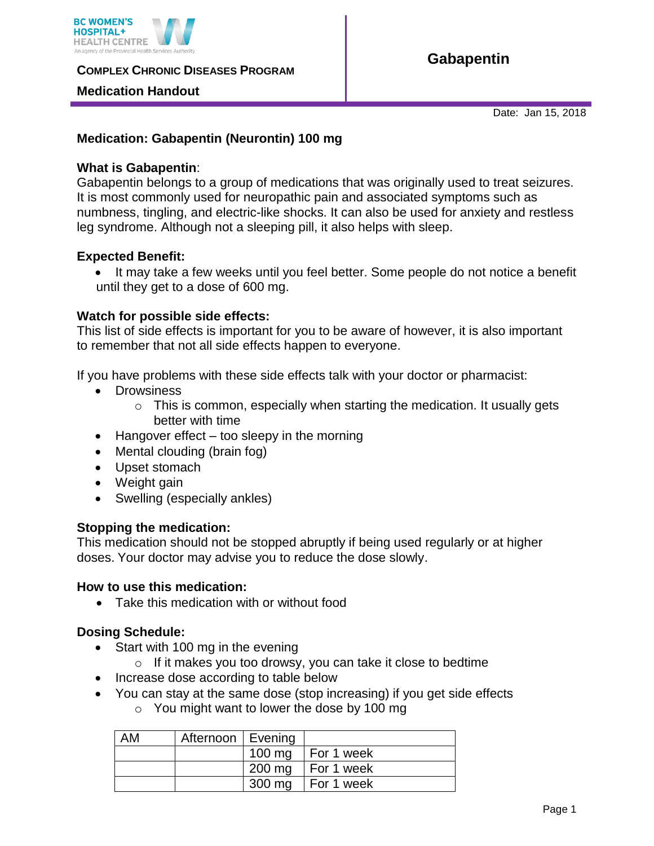

**COMPLEX CHRONIC DISEASES PROGRAM** 

## **Medication Handout**

**Gabapentin** 

Date: Jan 15, 2018

# **Medication: Gabapentin (Neurontin) 100 mg**

## **What is Gabapentin**:

Gabapentin belongs to a group of medications that was originally used to treat seizures. It is most commonly used for neuropathic pain and associated symptoms such as numbness, tingling, and electric-like shocks. It can also be used for anxiety and restless leg syndrome. Although not a sleeping pill, it also helps with sleep.

## **Expected Benefit:**

 It may take a few weeks until you feel better. Some people do not notice a benefit until they get to a dose of 600 mg.

## **Watch for possible side effects:**

This list of side effects is important for you to be aware of however, it is also important to remember that not all side effects happen to everyone.

If you have problems with these side effects talk with your doctor or pharmacist:

- Drowsiness
	- $\circ$  This is common, especially when starting the medication. It usually gets better with time
- $\bullet$  Hangover effect too sleepy in the morning
- Mental clouding (brain fog)
- Upset stomach
- Weight gain
- Swelling (especially ankles)

#### **Stopping the medication:**

This medication should not be stopped abruptly if being used regularly or at higher doses. Your doctor may advise you to reduce the dose slowly.

#### **How to use this medication:**

Take this medication with or without food

# **Dosing Schedule:**

- Start with 100 mg in the evening
	- $\circ$  If it makes you too drowsy, you can take it close to bedtime
- Increase dose according to table below
- You can stay at the same dose (stop increasing) if you get side effects
	- o You might want to lower the dose by 100 mg

| AM | Afternoon   Evening |                               |
|----|---------------------|-------------------------------|
|    |                     | 100 mg $\vert$ For 1 week     |
|    |                     | $200 \text{ mg}$   For 1 week |
|    |                     | 300 mg   For 1 week           |